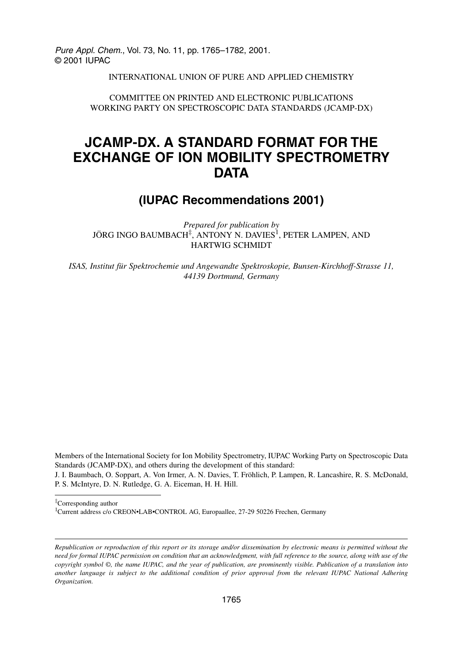Pure Appl. Chem., Vol. 73, No. 11, pp. 1765–1782, 2001. © 2001 IUPAC

INTERNATIONAL UNION OF PURE AND APPLIED CHEMISTRY

COMMITTEE ON PRINTED AND ELECTRONIC PUBLICATIONS WORKING PARTY ON SPECTROSCOPIC DATA STANDARDS (JCAMP-DX)

# **JCAMP-DX. A STANDARD FORMAT FOR THE EXCHANGE OF ION MOBILITY SPECTROMETRY DATA**

**(IUPAC Recommendations 2001)**

*Prepared for publication by* JÖRG INGO BAUMBACH<sup>‡</sup>, ANTONY N. DAVIES<sup>1</sup>, PETER LAMPEN, AND HARTWIG SCHMIDT

*ISAS, Institut für Spektrochemie und Angewandte Spektroskopie, Bunsen-Kirchhoff-Strasse 11, 44139 Dortmund, Germany*

Members of the International Society for Ion Mobility Spectrometry, IUPAC Working Party on Spectroscopic Data Standards (JCAMP-DX), and others during the development of this standard:

J. I. Baumbach, O. Soppart, A. Von Irmer, A. N. Davies, T. Fröhlich, P. Lampen, R. Lancashire, R. S. McDonald, P. S. McIntyre, D. N. Rutledge, G. A. Eiceman, H. H. Hill.

‡ Corresponding author

<sup>1</sup>Current address c/o CREON•LAB•CONTROL AG, Europaallee, 27-29 50226 Frechen, Germany

*Republication or reproduction of this report or its storage and/or dissemination by electronic means is permitted without the need for formal IUPAC permission on condition that an acknowledgment, with full reference to the source, along with use of the copyright symbol ©, the name IUPAC, and the year of publication, are prominently visible. Publication of a translation into another language is subject to the additional condition of prior approval from the relevant IUPAC National Adhering Organization.*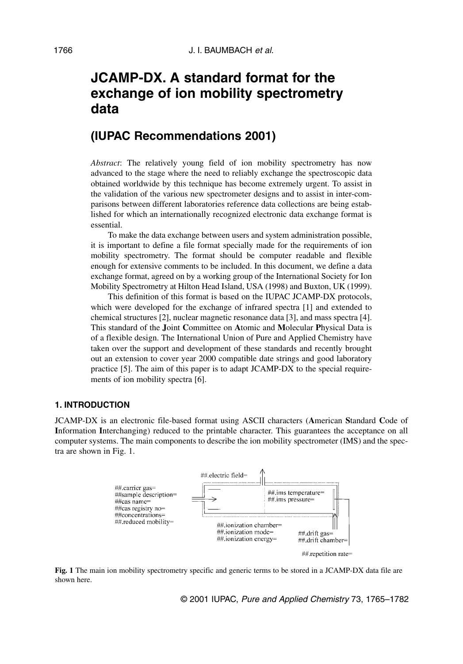# **JCAMP-DX. A standard format for the exchange of ion mobility spectrometry data**

# **(IUPAC Recommendations 2001)**

*Abstract*: The relatively young field of ion mobility spectrometry has now advanced to the stage where the need to reliably exchange the spectroscopic data obtained worldwide by this technique has become extremely urgent. To assist in the validation of the various new spectrometer designs and to assist in inter-comparisons between different laboratories reference data collections are being established for which an internationally recognized electronic data exchange format is essential.

To make the data exchange between users and system administration possible, it is important to define a file format specially made for the requirements of ion mobility spectrometry. The format should be computer readable and flexible enough for extensive comments to be included. In this document, we define a data exchange format, agreed on by a working group of the International Society for Ion Mobility Spectrometry at Hilton Head Island, USA (1998) and Buxton, UK (1999).

This definition of this format is based on the IUPAC JCAMP-DX protocols, which were developed for the exchange of infrared spectra [1] and extended to chemical structures [2], nuclear magnetic resonance data [3], and mass spectra [4]. This standard of the **J**oint **C**ommittee on **A**tomic and **M**olecular **P**hysical Data is of a flexible design. The International Union of Pure and Applied Chemistry have taken over the support and development of these standards and recently brought out an extension to cover year 2000 compatible date strings and good laboratory practice [5]. The aim of this paper is to adapt JCAMP-DX to the special requirements of ion mobility spectra [6].

#### **1. INTRODUCTION**

JCAMP-DX is an electronic file-based format using ASCII characters (**A**merican **S**tandard **C**ode of **I**nformation **I**nterchanging) reduced to the printable character. This guarantees the acceptance on all computer systems. The main components to describe the ion mobility spectrometer (IMS) and the spectra are shown in Fig. 1.



**Fig. 1** The main ion mobility spectrometry specific and generic terms to be stored in a JCAMP-DX data file are shown here.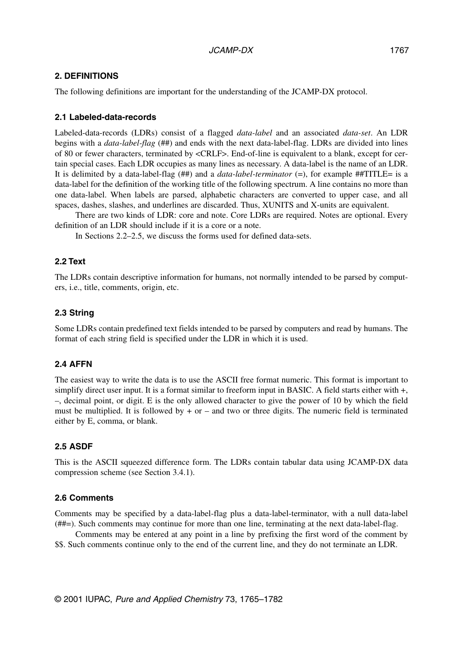#### **2. DEFINITIONS**

The following definitions are important for the understanding of the JCAMP-DX protocol.

#### **2.1 Labeled-data-records**

Labeled-data-records (LDRs) consist of a flagged *data-label* and an associated *data-set*. An LDR begins with a *data-label-flag* (##) and ends with the next data-label-flag. LDRs are divided into lines of 80 or fewer characters, terminated by <CRLF>. End-of-line is equivalent to a blank, except for certain special cases. Each LDR occupies as many lines as necessary. A data-label is the name of an LDR. It is delimited by a data-label-flag (##) and a *data-label-terminator* (=), for example ##TITLE= is a data-label for the definition of the working title of the following spectrum. A line contains no more than one data-label. When labels are parsed, alphabetic characters are converted to upper case, and all spaces, dashes, slashes, and underlines are discarded. Thus, XUNITS and X-units are equivalent.

There are two kinds of LDR: core and note. Core LDRs are required. Notes are optional. Every definition of an LDR should include if it is a core or a note.

In Sections 2.2–2.5, we discuss the forms used for defined data-sets.

#### **2.2 Text**

The LDRs contain descriptive information for humans, not normally intended to be parsed by computers, i.e., title, comments, origin, etc.

#### **2.3 String**

Some LDRs contain predefined text fields intended to be parsed by computers and read by humans. The format of each string field is specified under the LDR in which it is used.

#### **2.4 AFFN**

The easiest way to write the data is to use the ASCII free format numeric. This format is important to simplify direct user input. It is a format similar to freeform input in BASIC. A field starts either with +, –, decimal point, or digit. E is the only allowed character to give the power of 10 by which the field must be multiplied. It is followed by  $+$  or  $-$  and two or three digits. The numeric field is terminated either by E, comma, or blank.

#### **2.5 ASDF**

This is the ASCII squeezed difference form. The LDRs contain tabular data using JCAMP-DX data compression scheme (see Section 3.4.1).

#### **2.6 Comments**

Comments may be specified by a data-label-flag plus a data-label-terminator, with a null data-label (##=). Such comments may continue for more than one line, terminating at the next data-label-flag.

Comments may be entered at any point in a line by prefixing the first word of the comment by \$\$. Such comments continue only to the end of the current line, and they do not terminate an LDR.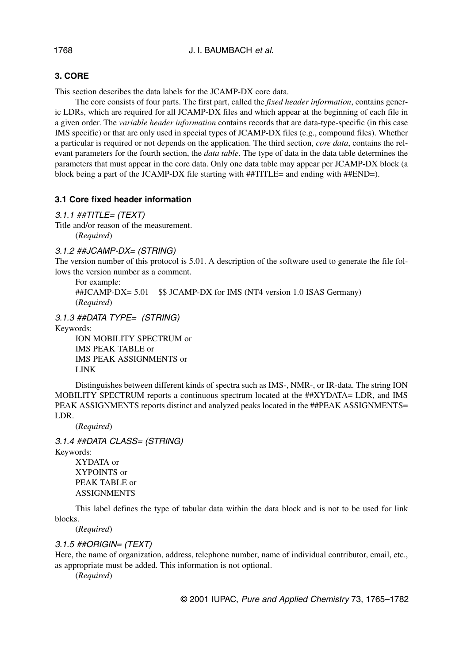# **3. CORE**

This section describes the data labels for the JCAMP-DX core data.

The core consists of four parts. The first part, called the *fixed header information*, contains generic LDRs, which are required for all JCAMP-DX files and which appear at the beginning of each file in a given order. The *variable header information* contains records that are data-type-specific (in this case IMS specific) or that are only used in special types of JCAMP-DX files (e.g., compound files). Whether a particular is required or not depends on the application. The third section, *core data*, contains the relevant parameters for the fourth section, the *data table*. The type of data in the data table determines the parameters that must appear in the core data. Only one data table may appear per JCAMP-DX block (a block being a part of the JCAMP-DX file starting with ##TITLE= and ending with ##END=).

# **3.1 Core fixed header information**

#### 3.1.1 ##TITLE= (TEXT)

Title and/or reason of the measurement.

(*Required*)

#### 3.1.2 ##JCAMP-DX= (STRING)

The version number of this protocol is 5.01. A description of the software used to generate the file follows the version number as a comment.

```
For example: 
##JCAMP-DX= 5.01 $$ JCAMP-DX for IMS (NT4 version 1.0 ISAS Germany)
(Required)
```

```
3.1.3 ##DATA TYPE= (STRING)
```
Keywords:

ION MOBILITY SPECTRUM or IMS PEAK TABLE or IMS PEAK ASSIGNMENTS or LINK

Distinguishes between different kinds of spectra such as IMS-, NMR-, or IR-data. The string ION MOBILITY SPECTRUM reports a continuous spectrum located at the ##XYDATA= LDR, and IMS PEAK ASSIGNMENTS reports distinct and analyzed peaks located in the ##PEAK ASSIGNMENTS= LDR.

(*Required*)

```
3.1.4 ##DATA CLASS= (STRING)
```
Keywords:

XYDATA or XYPOINTS or PEAK TABLE or ASSIGNMENTS

This label defines the type of tabular data within the data block and is not to be used for link blocks.

(*Required*)

# 3.1.5 ##ORIGIN= (TEXT)

Here, the name of organization, address, telephone number, name of individual contributor, email, etc., as appropriate must be added. This information is not optional.

(*Required*)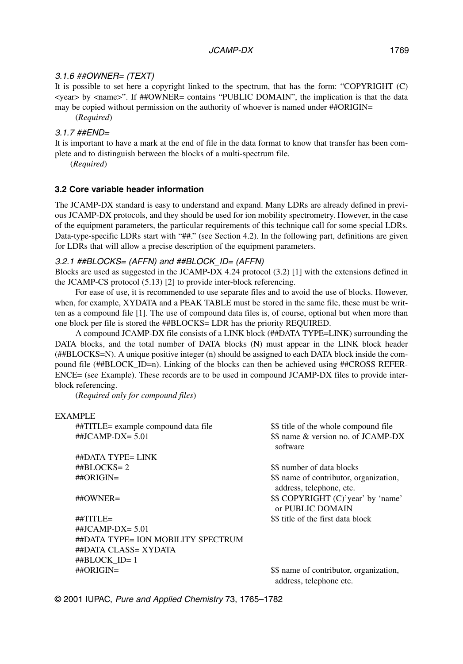#### 3.1.6 ##OWNER= (TEXT)

It is possible to set here a copyright linked to the spectrum, that has the form: "COPYRIGHT (C) <year> by <name>". If ##OWNER= contains "PUBLIC DOMAIN", the implication is that the data may be copied without permission on the authority of whoever is named under ##ORIGIN=

(*Required*)

## 3.1.7 ##END=

It is important to have a mark at the end of file in the data format to know that transfer has been complete and to distinguish between the blocks of a multi-spectrum file.

(*Required*)

#### **3.2 Core variable header information**

The JCAMP-DX standard is easy to understand and expand. Many LDRs are already defined in previous JCAMP-DX protocols, and they should be used for ion mobility spectrometry. However, in the case of the equipment parameters, the particular requirements of this technique call for some special LDRs. Data-type-specific LDRs start with "##." (see Section 4.2). In the following part, definitions are given for LDRs that will allow a precise description of the equipment parameters.

#### 3.2.1 ##BLOCKS= (AFFN) and ##BLOCK  $ID = (AFFN)$

Blocks are used as suggested in the JCAMP-DX 4.24 protocol (3.2) [1] with the extensions defined in the JCAMP-CS protocol (5.13) [2] to provide inter-block referencing.

For ease of use, it is recommended to use separate files and to avoid the use of blocks. However, when, for example, XYDATA and a PEAK TABLE must be stored in the same file, these must be written as a compound file [1]. The use of compound data files is, of course, optional but when more than one block per file is stored the ##BLOCKS= LDR has the priority REQUIRED.

A compound JCAMP-DX file consists of a LINK block (##DATA TYPE=LINK) surrounding the DATA blocks, and the total number of DATA blocks (N) must appear in the LINK block header (##BLOCKS=N). A unique positive integer (n) should be assigned to each DATA block inside the compound file (##BLOCK\_ID=n). Linking of the blocks can then be achieved using ##CROSS REFER-ENCE= (see Example). These records are to be used in compound JCAMP-DX files to provide interblock referencing.

(*Required only for compound files*)

#### EXAMPLE

##TITLE= example compound data file \$\$ title of the whole compound file  $\#HICAMP-DX= 5.01$  \$\$ name & version no. of  $ICAMP-DX$ software ##DATA TYPE= LINK ##BLOCKS= 2 \$\$ number of data blocks ##ORIGIN= \$\$ name of contributor, organization, address, telephone, etc. ##OWNER= \$\$ COPYRIGHT (C)'year' by 'name' or PUBLIC DOMAIN  $\#$  $\#$ TITLE $=$  \$\$ title of the first data block  $\text{#HJCAMP-DX}=$  5.01 ##DATA TYPE= ION MOBILITY SPECTRUM ##DATA CLASS= XYDATA  $\#$  $\#$ BLOCK ID= 1

##ORIGIN= \$\$ name of contributor, organization, address, telephone etc.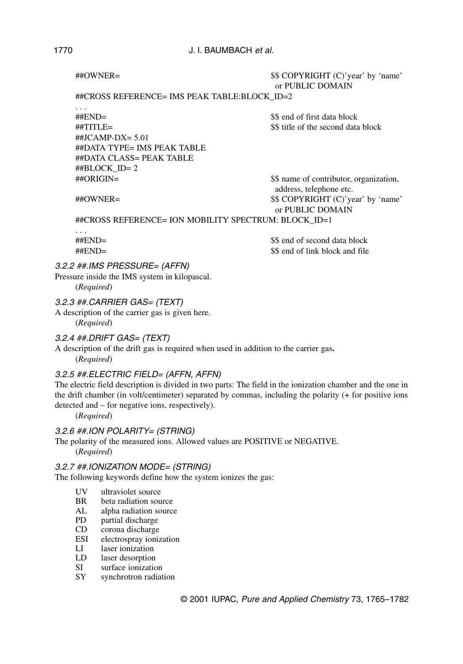J. I. BAUMBACH et al.

#### ##OWNER= \$\$ COPYRIGHT (C)'year' by 'name' or PUBLIC DOMAIN

##CROSS REFERENCE= IMS PEAK TABLE:BLOCK\_ID=2

. . .  $\# \text{END} =$  \$\$ end of first data block ##TITLE= \$\$ title of the second data block  $\text{HHJCAMP-DX}=5.01$ ##DATA TYPE= IMS PEAK TABLE ##DATA CLASS= PEAK TABLE  $\#$  $\#$ BLOCK ID= 2 ##ORIGIN= \$\$ name of contributor, organization,

address, telephone etc. ##OWNER= \$\$ COPYRIGHT (C)'year' by 'name' or PUBLIC DOMAIN

# ##CROSS REFERENCE= ION MOBILITY SPECTRUM: BLOCK\_ID=1

. . . ##END= \$\$ end of second data block ##END= \$\$ end of link block and file

3.2.2 ##.IMS PRESSURE= (AFFN)

Pressure inside the IMS system in kilopascal.

(*Required*)

# 3.2.3 ##.CARRIER GAS= (TEXT)

A description of the carrier gas is given here. (*Required*)

#### 3.2.4 ##.DRIFT GAS= (TEXT)

A description of the drift gas is required when used in addition to the carrier gas**.** (*Required*)

#### 3.2.5 ##.ELECTRIC FIELD= (AFFN, AFFN)

The electric field description is divided in two parts: The field in the ionization chamber and the one in the drift chamber (in volt/centimeter) separated by commas, including the polarity (+ for positive ions detected and – for negative ions, respectively).

(*Required*)

# 3.2.6 ##.ION POLARITY= (STRING)

The polarity of the measured ions. Allowed values are POSITIVE or NEGATIVE. (*Required*)

#### 3.2.7 ##.IONIZATION MODE= (STRING)

The following keywords define how the system ionizes the gas:

- UV ultraviolet source
- BR beta radiation source
- AL alpha radiation source
- PD partial discharge<br>CD corona discharge
- CD corona discharge<br>ESI electrospray ioniz
- electrospray ionization
- LI laser ionization<br>LD laser desorption
- laser desorption
- SI surface ionization
- SY synchrotron radiation

1770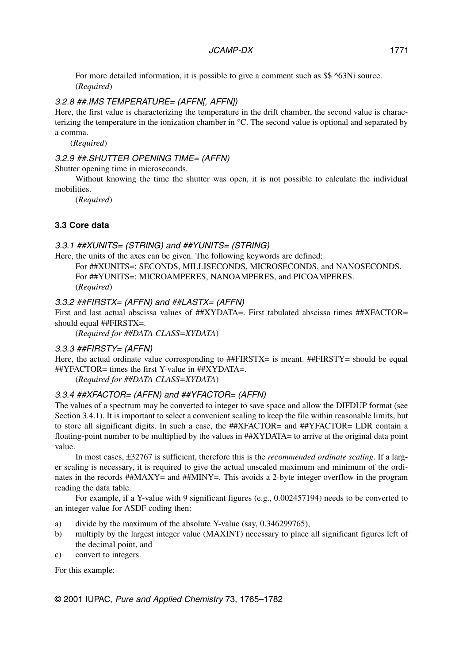For more detailed information, it is possible to give a comment such as \$\$  $\textdegree$ 63Ni source. (*Required*)

## 3.2.8 ##.IMS TEMPERATURE= (AFFN[, AFFN])

Here, the first value is characterizing the temperature in the drift chamber, the second value is characterizing the temperature in the ionization chamber in °C. The second value is optional and separated by a comma.

(*Required*)

## 3.2.9 ##.SHUTTER OPENING TIME= (AFFN)

Shutter opening time in microseconds.

Without knowing the time the shutter was open, it is not possible to calculate the individual mobilities.

(*Required*)

# **3.3 Core data**

#### 3.3.1 ##XUNITS= (STRING) and ##YUNITS= (STRING)

Here, the units of the axes can be given. The following keywords are defined:

For ##XUNITS=: SECONDS, MILLISECONDS, MICROSECONDS, and NANOSECONDS. For ##YUNITS=: MICROAMPERES, NANOAMPERES, and PICOAMPERES.

(*Required*)

#### 3.3.2 ##FIRSTX= (AFFN) and ##LASTX= (AFFN)

First and last actual abscissa values of ##XYDATA=. First tabulated abscissa times ##XFACTOR= should equal ##FIRSTX=.

(*Required for ##DATA CLASS=XYDATA*)

#### 3.3.3 ##FIRSTY= (AFFN)

Here, the actual ordinate value corresponding to ##FIRSTX= is meant. ##FIRSTY= should be equal ##YFACTOR= times the first Y-value in ##XYDATA=.

(*Required for ##DATA CLASS=XYDATA*)

#### 3.3.4 ##XFACTOR= (AFFN) and ##YFACTOR= (AFFN)

The values of a spectrum may be converted to integer to save space and allow the DIFDUP format (see Section 3.4.1). It is important to select a convenient scaling to keep the file within reasonable limits, but to store all significant digits. In such a case, the ##XFACTOR= and ##YFACTOR= LDR contain a floating-point number to be multiplied by the values in ##XYDATA= to arrive at the original data point value.

In most cases, ±32767 is sufficient, therefore this is the *recommended ordinate scaling*. If a larger scaling is necessary, it is required to give the actual unscaled maximum and minimum of the ordinates in the records ##MAXY= and ##MINY=. This avoids a 2-byte integer overflow in the program reading the data table.

For example, if a Y-value with 9 significant figures (e.g., 0.002457194) needs to be converted to an integer value for ASDF coding then:

- a) divide by the maximum of the absolute Y-value (say, 0.346299765),
- b) multiply by the largest integer value (MAXINT) necessary to place all significant figures left of the decimal point, and
- c) convert to integers.

For this example: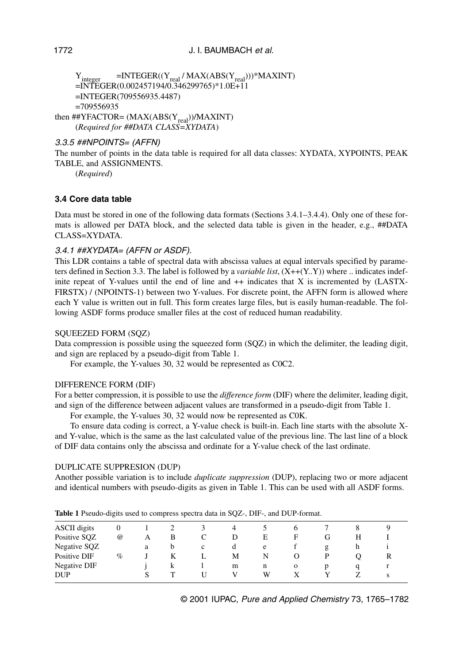```
Y_{integer} =INTEGER((Y_{real}/MAX(ABS(Y_{real})))*MAXINT)
     =INTEGER(0.002457194/0.346299765)*1.0E+11
     =INTEGER(709556935.4487)
     =709556935
then \# + YFACTOR = (MAX(ABS(Y<sub>real</sub>))/MAXINT)
     (Required for ##DATA CLASS=XYDATA)
```
## 3.3.5 ##NPOINTS= (AFFN)

The number of points in the data table is required for all data classes: XYDATA, XYPOINTS, PEAK TABLE, and ASSIGNMENTS.

(*Required*)

# **3.4 Core data table**

Data must be stored in one of the following data formats (Sections 3.4.1–3.4.4). Only one of these formats is allowed per DATA block, and the selected data table is given in the header, e.g., ##DATA CLASS=XYDATA.

#### 3.4.1 ##XYDATA= (AFFN or ASDF).

This LDR contains a table of spectral data with abscissa values at equal intervals specified by parameters defined in Section 3.3. The label is followed by a *variable list*, (X++(Y..Y)) where .. indicates indefinite repeat of Y-values until the end of line and ++ indicates that X is incremented by (LASTX-FIRSTX) / (NPOINTS-1) between two Y-values. For discrete point, the AFFN form is allowed where each Y value is written out in full. This form creates large files, but is easily human-readable. The following ASDF forms produce smaller files at the cost of reduced human readability.

#### SQUEEZED FORM (SQZ)

Data compression is possible using the squeezed form (SQZ) in which the delimiter, the leading digit, and sign are replaced by a pseudo-digit from Table 1.

For example, the Y-values 30, 32 would be represented as C0C2.

#### DIFFERENCE FORM (DIF)

For a better compression, it is possible to use the *difference form* (DIF) where the delimiter, leading digit, and sign of the difference between adjacent values are transformed in a pseudo-digit from Table 1.

For example, the Y-values 30, 32 would now be represented as C0K.

To ensure data coding is correct, a Y-value check is built-in. Each line starts with the absolute Xand Y-value, which is the same as the last calculated value of the previous line. The last line of a block of DIF data contains only the abscissa and ordinate for a Y-value check of the last ordinate.

#### DUPLICATE SUPPRESION (DUP)

Another possible variation is to include *duplicate suppression* (DUP), replacing two or more adjacent and identical numbers with pseudo-digits as given in Table 1. This can be used with all ASDF forms.

| <b>ASCII</b> digits | $\theta$ |   |   |              | 4 |   | <sub>0</sub> |    |   |   |  |
|---------------------|----------|---|---|--------------|---|---|--------------|----|---|---|--|
| Positive SOZ        | $\omega$ | А | В | C            | D | E | F            | Gì | н |   |  |
| Negative SQZ        |          | a | b | $\mathbf{c}$ | d | e |              | g  | n |   |  |
| Positive DIF        | $\%$     |   | Κ | Ι.           | М | N | $\circ$      |    |   | R |  |
| Negative DIF        |          |   | k |              | m | n | $\mathbf{o}$ | D  |   |   |  |
| <b>DUP</b>          |          |   |   |              |   | W |              |    |   | s |  |
|                     |          |   |   |              |   |   |              |    |   |   |  |

**Table 1** Pseudo-digits used to compress spectra data in SQZ-, DIF-, and DUP-format.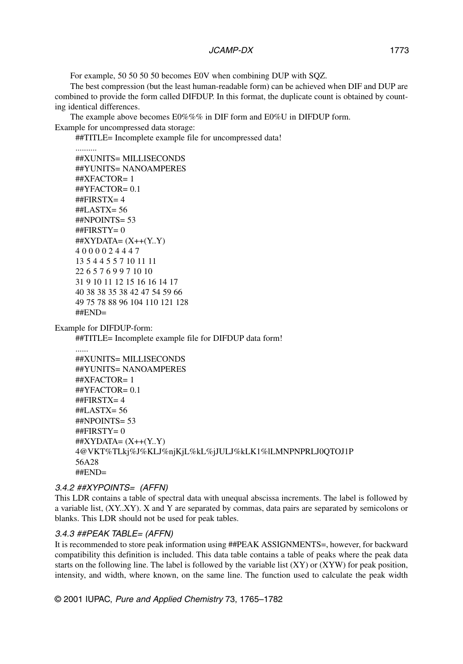#### JCAMP-DX 1773

For example, 50 50 50 50 becomes E0V when combining DUP with SQZ.

The best compression (but the least human-readable form) can be achieved when DIF and DUP are combined to provide the form called DIFDUP. In this format, the duplicate count is obtained by counting identical differences.

The example above becomes E0%%% in DIF form and E0%U in DIFDUP form. Example for uncompressed data storage:

##TITLE= Incomplete example file for uncompressed data!

```
..........
##XUNITS= MILLISECONDS
##YUNITS= NANOAMPERES
##XFACTOR= 1
##YFACTOR= 0.1
#FIRSTX= 4
##LASTX= 56
\texttt{\#H}NPOINTS = 53#FIRSTY= 0
\##XYDATA= (X++(Y, Y))4 0 0 0 0 2 4 4 4 7
13 5 4 4 5 5 7 10 11 11
22 6 5 7 6 9 9 7 10 10
31 9 10 11 12 15 16 16 14 17
40 38 38 35 38 42 47 54 59 66
49 75 78 88 96 104 110 121 128
##END=
```
Example for DIFDUP-form:

##TITLE= Incomplete example file for DIFDUP data form!

```
......
##XUNITS= MILLISECONDS
##YUNITS= NANOAMPERES
##XFACTOR= 1
##YFACTOR= 0.1
#FIRSTX= 4
\#HLASTX = 56##NPOINTS= 53
#FIRSTY= 0
##XYDATA= (X++(Y..Y)
4@VKT%TLkj%J%KLJ%njKjL%kL%jJULJ%kLK1%lLMNPNPRLJ0QTOJ1P
56A28
\#\#\text{END}=
```
#### 3.4.2 ##XYPOINTS= (AFFN)

This LDR contains a table of spectral data with unequal abscissa increments. The label is followed by a variable list, (XY..XY). X and Y are separated by commas, data pairs are separated by semicolons or blanks. This LDR should not be used for peak tables.

#### 3.4.3 ##PEAK TABLE= (AFFN)

It is recommended to store peak information using ##PEAK ASSIGNMENTS=, however, for backward compatibility this definition is included. This data table contains a table of peaks where the peak data starts on the following line. The label is followed by the variable list (XY) or (XYW) for peak position, intensity, and width, where known, on the same line. The function used to calculate the peak width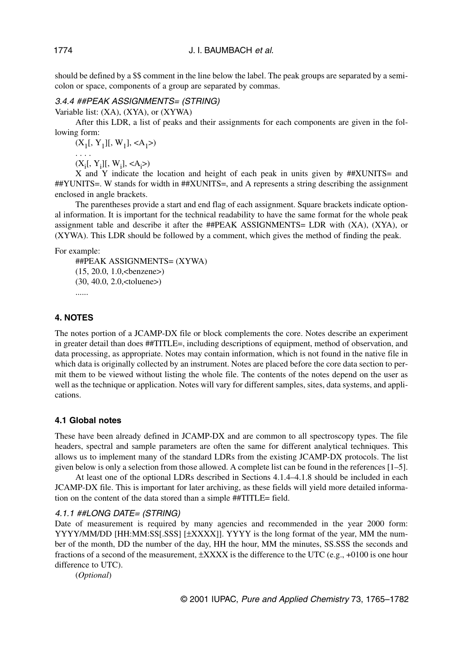should be defined by a \$\$ comment in the line below the label. The peak groups are separated by a semicolon or space, components of a group are separated by commas.

#### 3.4.4 ##PEAK ASSIGNMENTS= (STRING)

Variable list: (XA), (XYA), or (XYWA)

After this LDR, a list of peaks and their assignments for each components are given in the following form:

 $(X_1[, Y_1][, W_1],$ 

. . . .  $(X_i[, Y_i][, W_i],$ 

X and Y indicate the location and height of each peak in units given by ##XUNITS= and ##YUNITS=. W stands for width in ##XUNITS=, and A represents a string describing the assignment enclosed in angle brackets.

The parentheses provide a start and end flag of each assignment. Square brackets indicate optional information. It is important for the technical readability to have the same format for the whole peak assignment table and describe it after the ##PEAK ASSIGNMENTS= LDR with (XA), (XYA), or (XYWA). This LDR should be followed by a comment, which gives the method of finding the peak.

For example:

##PEAK ASSIGNMENTS= (XYWA)  $(15, 20.0, 1.0,$  benzene> $)$ (30, 40.0, 2.0,<toluene>) ......

#### **4. NOTES**

The notes portion of a JCAMP-DX file or block complements the core. Notes describe an experiment in greater detail than does ##TITLE=, including descriptions of equipment, method of observation, and data processing, as appropriate. Notes may contain information, which is not found in the native file in which data is originally collected by an instrument. Notes are placed before the core data section to permit them to be viewed without listing the whole file. The contents of the notes depend on the user as well as the technique or application. Notes will vary for different samples, sites, data systems, and applications.

#### **4.1 Global notes**

These have been already defined in JCAMP-DX and are common to all spectroscopy types. The file headers, spectral and sample parameters are often the same for different analytical techniques. This allows us to implement many of the standard LDRs from the existing JCAMP-DX protocols. The list given below is only a selection from those allowed. A complete list can be found in the references  $[1-5]$ .

At least one of the optional LDRs described in Sections 4.1.4–4.1.8 should be included in each JCAMP-DX file. This is important for later archiving, as these fields will yield more detailed information on the content of the data stored than a simple ##TITLE= field.

#### 4.1.1 ##LONG DATE= (STRING)

Date of measurement is required by many agencies and recommended in the year 2000 form: YYYY/MM/DD [HH:MM:SS[.SSS] [±XXXX]]. YYYY is the long format of the year, MM the number of the month, DD the number of the day, HH the hour, MM the minutes, SS.SSS the seconds and fractions of a second of the measurement,  $\pm$ XXXX is the difference to the UTC (e.g., +0100 is one hour difference to UTC).

(*Optional*)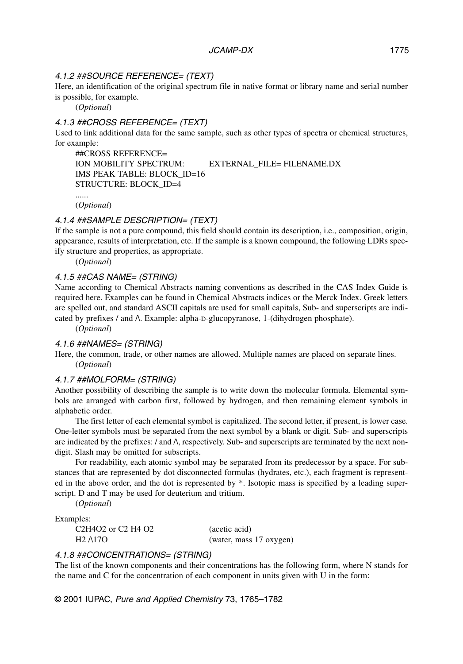# 4.1.2 ##SOURCE REFERENCE= (TEXT)

Here, an identification of the original spectrum file in native format or library name and serial number is possible, for example.

(*Optional*)

# 4.1.3 ##CROSS REFERENCE= (TEXT)

Used to link additional data for the same sample, such as other types of spectra or chemical structures, for example:

##CROSS REFERENCE= ION MOBILITY SPECTRUM: EXTERNAL\_FILE= FILENAME.DX IMS PEAK TABLE: BLOCK\_ID=16 STRUCTURE: BLOCK\_ID=4 ...... (*Optional*)

## 4.1.4 ##SAMPLE DESCRIPTION= (TEXT)

If the sample is not a pure compound, this field should contain its description, i.e., composition, origin, appearance, results of interpretation, etc. If the sample is a known compound, the following LDRs specify structure and properties, as appropriate.

(*Optional*)

#### 4.1.5 ##CAS NAME= (STRING)

Name according to Chemical Abstracts naming conventions as described in the CAS Index Guide is required here. Examples can be found in Chemical Abstracts indices or the Merck Index. Greek letters are spelled out, and standard ASCII capitals are used for small capitals, Sub- and superscripts are indicated by prefixes / and  $\Lambda$ . Example: alpha-D-glucopyranose, 1-(dihydrogen phosphate).

(*Optional*)

#### 4.1.6 ##NAMES= (STRING)

Here, the common, trade, or other names are allowed. Multiple names are placed on separate lines. (*Optional*)

#### 4.1.7 ##MOLFORM= (STRING)

Another possibility of describing the sample is to write down the molecular formula. Elemental symbols are arranged with carbon first, followed by hydrogen, and then remaining element symbols in alphabetic order.

The first letter of each elemental symbol is capitalized. The second letter, if present, is lower case. One-letter symbols must be separated from the next symbol by a blank or digit. Sub- and superscripts are indicated by the prefixes:  $/$  and  $\wedge$ , respectively. Sub- and superscripts are terminated by the next nondigit. Slash may be omitted for subscripts.

For readability, each atomic symbol may be separated from its predecessor by a space. For substances that are represented by dot disconnected formulas (hydrates, etc.), each fragment is represented in the above order, and the dot is represented by \*. Isotopic mass is specified by a leading superscript. D and T may be used for deuterium and tritium.

(*Optional*)

Examples:

| C2H4O2 or C2 H4 O2 | (acetic acid)           |
|--------------------|-------------------------|
| H2 A17O            | (water, mass 17 oxygen) |

#### 4.1.8 ##CONCENTRATIONS= (STRING)

The list of the known components and their concentrations has the following form, where N stands for the name and C for the concentration of each component in units given with U in the form: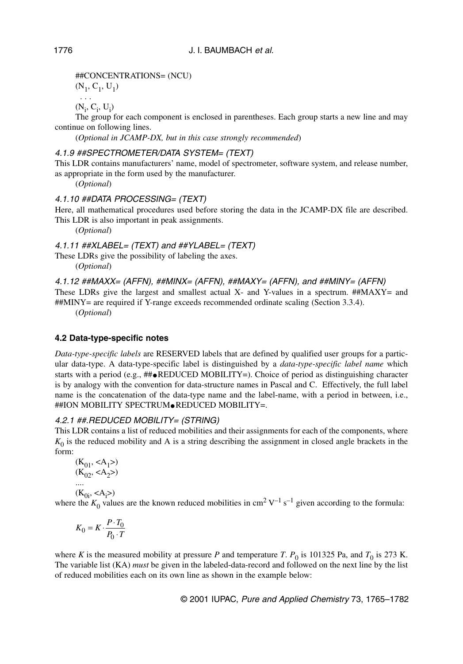##CONCENTRATIONS= (NCU)

 $(N_1, C_1, U_1)$ 

. . .  $(N_i, C_i, U_i)$ 

The group for each component is enclosed in parentheses. Each group starts a new line and may continue on following lines.

(*Optional in JCAMP-DX, but in this case strongly recommended*)

#### 4.1.9 ##SPECTROMETER/DATA SYSTEM= (TEXT)

This LDR contains manufacturers' name, model of spectrometer, software system, and release number, as appropriate in the form used by the manufacturer.

(*Optional*)

#### 4.1.10 ##DATA PROCESSING= (TEXT)

Here, all mathematical procedures used before storing the data in the JCAMP-DX file are described. This LDR is also important in peak assignments.

(*Optional*)

# 4.1.11 ##XLABEL= (TEXT) and ##YLABEL= (TEXT)

These LDRs give the possibility of labeling the axes. (*Optional*)

#### 4.1.12 ##MAXX= (AFFN), ##MINX= (AFFN), ##MAXY= (AFFN), and ##MINY= (AFFN)

These LDRs give the largest and smallest actual X- and Y-values in a spectrum. ##MAXY= and ##MINY= are required if Y-range exceeds recommended ordinate scaling (Section 3.3.4).

(*Optional*)

# **4.2 Data-type-specific notes**

*Data-type-specific labels* are RESERVED labels that are defined by qualified user groups for a particular data-type. A data-type-specific label is distinguished by a *data-type-specific label name* which starts with a period (e.g., ## $\bullet$ REDUCED MOBILITY=). Choice of period as distinguishing character is by analogy with the convention for data-structure names in Pascal and C. Effectively, the full label name is the concatenation of the data-type name and the label-name, with a period in between, i.e.,  $\#$ #ION MOBILITY SPECTRUM $\bullet$ REDUCED MOBILITY=.

#### 4.2.1 ##.REDUCED MOBILITY= (STRING)

This LDR contains a list of reduced mobilities and their assignments for each of the components, where  $K_0$  is the reduced mobility and A is a string describing the assignment in closed angle brackets in the form:

 $(K_{01}, **A**<sub>1</sub>)$  $(K_{02}, <\ A22})$ ....

 $(K_{0i}, *A*<sub>i</sub>)$ 

where the  $K_0$  values are the known reduced mobilities in cm<sup>2</sup> V<sup>-1</sup> s<sup>-1</sup> given according to the formula:

$$
K_0 = K \cdot \frac{P \cdot T_0}{P_0 \cdot T}
$$

where *K* is the measured mobility at pressure *P* and temperature *T*.  $P_0$  is 101325 Pa, and  $T_0$  is 273 K. The variable list (KA) *must* be given in the labeled-data-record and followed on the next line by the list of reduced mobilities each on its own line as shown in the example below:

© 2001 IUPAC, Pure and Applied Chemistry 73, 1765–1782

1776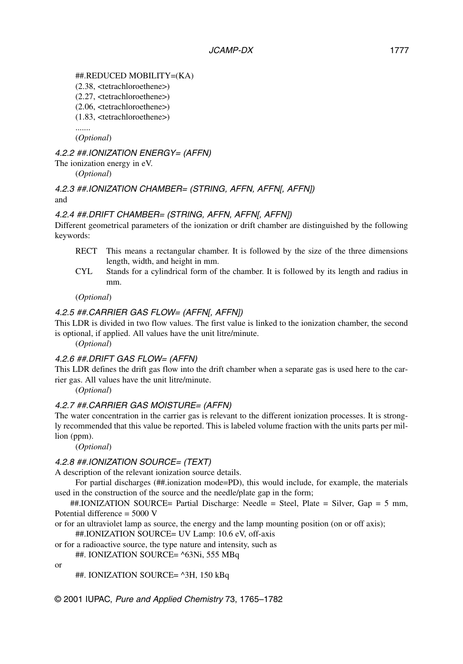##.REDUCED MOBILITY=(KA) (2.38, <tetrachloroethene>) (2.27, <tetrachloroethene>) (2.06, <tetrachloroethene>) (1.83, <tetrachloroethene>) .......

(*Optional*)

4.2.2 ##.IONIZATION ENERGY= (AFFN)

The ionization energy in eV.

(*Optional*)

#### 4.2.3 ##.IONIZATION CHAMBER= (STRING, AFFN, AFFN[, AFFN]) and

#### 4.2.4 ##.DRIFT CHAMBER= (STRING, AFFN, AFFN[, AFFN])

Different geometrical parameters of the ionization or drift chamber are distinguished by the following keywords:

- RECT This means a rectangular chamber. It is followed by the size of the three dimensions length, width, and height in mm.
- CYL Stands for a cylindrical form of the chamber. It is followed by its length and radius in mm.

(*Optional*)

# 4.2.5 ##.CARRIER GAS FLOW= (AFFN[, AFFN])

This LDR is divided in two flow values. The first value is linked to the ionization chamber, the second is optional, if applied. All values have the unit litre/minute.

(*Optional*)

#### 4.2.6 ##.DRIFT GAS FLOW= (AFFN)

This LDR defines the drift gas flow into the drift chamber when a separate gas is used here to the carrier gas. All values have the unit litre/minute.

(*Optional*)

#### 4.2.7 ##.CARRIER GAS MOISTURE= (AFFN)

The water concentration in the carrier gas is relevant to the different ionization processes. It is strongly recommended that this value be reported. This is labeled volume fraction with the units parts per million (ppm).

(*Optional*)

#### 4.2.8 ##.IONIZATION SOURCE= (TEXT)

A description of the relevant ionization source details.

For partial discharges (##.ionization mode=PD), this would include, for example, the materials used in the construction of the source and the needle/plate gap in the form;

##.IONIZATION SOURCE= Partial Discharge: Needle = Steel, Plate = Silver, Gap = 5 mm, Potential difference = 5000 V

or for an ultraviolet lamp as source, the energy and the lamp mounting position (on or off axis);

##.IONIZATION SOURCE= UV Lamp: 10.6 eV, off-axis

or for a radioactive source, the type nature and intensity, such as

##. IONIZATION SOURCE= ^63Ni, 555 MBq

or

##. IONIZATION SOURCE= ^3H, 150 kBq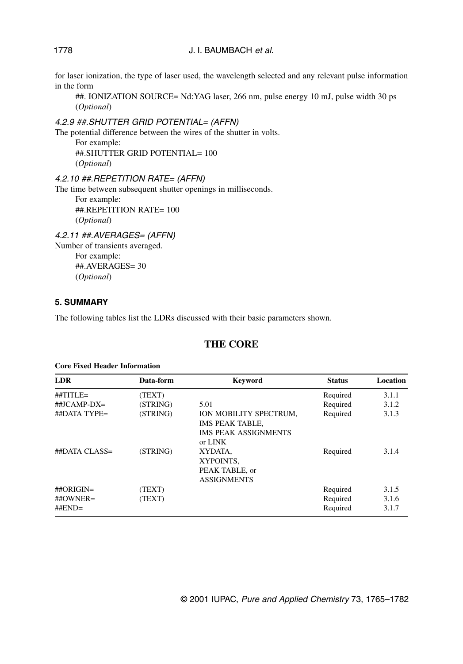for laser ionization, the type of laser used, the wavelength selected and any relevant pulse information in the form

##. IONIZATION SOURCE= Nd:YAG laser, 266 nm, pulse energy 10 mJ, pulse width 30 ps (*Optional*)

#### 4.2.9 ##.SHUTTER GRID POTENTIAL= (AFFN)

The potential difference between the wires of the shutter in volts.

For example: ##.SHUTTER GRID POTENTIAL= 100 (*Optional*)

#### 4.2.10 ##.REPETITION RATE= (AFFN)

The time between subsequent shutter openings in milliseconds.

For example: ##.REPETITION RATE= 100 (*Optional*)

#### 4.2.11 ##.AVERAGES= (AFFN)

Number of transients averaged. For example: ##.AVERAGES= 30 (*Optional*)

#### **5. SUMMARY**

The following tables list the LDRs discussed with their basic parameters shown.

# **THE CORE**

| <b>LDR</b>                                      | Data-form        | <b>Keyword</b>                                                                      | <b>Status</b>                    | Location                |
|-------------------------------------------------|------------------|-------------------------------------------------------------------------------------|----------------------------------|-------------------------|
| $\#$ TITLE $=$                                  | (TEXT)           |                                                                                     | Required                         | 3.1.1                   |
| $\#HJCAMP-DX=$                                  | (STRING)         | 5.01                                                                                | Required                         | 3.1.2                   |
| $\#$ HDATA TYPE=                                | (STRING)         | ION MOBILITY SPECTRUM,<br>IMS PEAK TABLE,<br><b>IMS PEAK ASSIGNMENTS</b><br>or LINK | Required                         | 3.1.3                   |
| $\#$ EDATA CLASS=                               | (STRING)         | XYDATA,<br>XYPOINTS,<br>PEAK TABLE, or<br><b>ASSIGNMENTS</b>                        | Required                         | 3.1.4                   |
| $\#HORIGIN =$<br>$\text{H}$ HOWNER=<br>$\#END=$ | (TEXT)<br>(TEXT) |                                                                                     | Required<br>Required<br>Required | 3.1.5<br>3.1.6<br>3.1.7 |

#### **Core Fixed Header Information**

#### 1778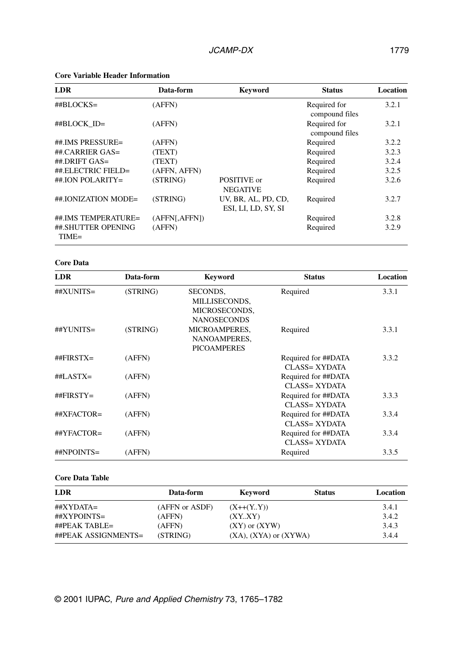| <b>LDR</b>                     | Data-form      | <b>Keyword</b>                             | <b>Status</b>                  | Location |
|--------------------------------|----------------|--------------------------------------------|--------------------------------|----------|
| ##BLOCKS=                      | (AFFN)         |                                            | Required for<br>compound files | 3.2.1    |
| #BLOCK ID=                     | (AFFN)         |                                            | Required for<br>compound files | 3.2.1    |
| ##.IMS PRESSURE=               | (AFFN)         |                                            | Required                       | 3.2.2    |
| ##.CARRIER GAS=                | (TEXT)         |                                            | Required                       | 3.2.3    |
| $#H.DRIFT GAS =$               | (TEXT)         |                                            | Required                       | 3.2.4    |
| ##.ELECTRIC FIELD=             | (AFFN, AFFN)   |                                            | Required                       | 3.2.5    |
| $\#$ ION POLARITY=             | (STRING)       | POSITIVE or<br><b>NEGATIVE</b>             | Required                       | 3.2.6    |
| ##.IONIZATION MODE=            | (STRING)       | UV, BR, AL, PD, CD,<br>ESI, LI, LD, SY, SI | Required                       | 3.2.7    |
| ##.IMS TEMPERATURE=            | (AFFNI, AFFNI) |                                            | Required                       | 3.2.8    |
| ##.SHUTTER OPENING<br>$TIME =$ | (AFFN)         |                                            | Required                       | 3.2.9    |

#### **Core Variable Header Information**

#### **Core Data**

| <b>LDR</b>     | Data-form | <b>Keyword</b>                                                   | <b>Status</b>                               | Location |
|----------------|-----------|------------------------------------------------------------------|---------------------------------------------|----------|
| $\#$ XUNITS=   | (STRING)  | SECONDS,<br>MILLISECONDS,<br>MICROSECONDS,<br><b>NANOSECONDS</b> | Required                                    | 3.3.1    |
| $#$ YUNITS $=$ | (STRING)  | MICROAMPERES,<br>NANOAMPERES,<br><b>PICOAMPERES</b>              | Required                                    | 3.3.1    |
| $#FIRSTX=$     | (AFFN)    |                                                                  | Required for ##DATA<br>CLASS= XYDATA        | 3.3.2    |
| $\#HLASTX =$   | (AFFN)    |                                                                  | Required for ##DATA<br>CLASS= XYDATA        |          |
| $#FIRSTY=$     | (AFFN)    |                                                                  | Required for ##DATA<br>CLASS= XYDATA        | 3.3.3    |
| ##XFACTOR=     | (AFFN)    |                                                                  | Required for ##DATA<br><b>CLASS= XYDATA</b> | 3.3.4    |
| ##YFACTOR=     | (AFFN)    |                                                                  | Required for ##DATA<br>CLASS= XYDATA        | 3.3.4    |
| ##NPOINTS=     | (AFFN)    |                                                                  | Required                                    | 3.3.5    |

#### **Core Data Table**

| <b>LDR</b>          | Data-form      | Keyword                      | <b>Status</b> | Location |
|---------------------|----------------|------------------------------|---------------|----------|
| $\#$ XYDATA=        | (AFFN or ASDF) | $(X++(Y,Y))$                 |               | 3.4.1    |
| $\#$ XYPOINTS=      | (AFFN)         | (XY. XY)                     |               | 3.4.2    |
| ## $PEAK$ TABLE=    | (AFFN)         | $(XY)$ or $(XYW)$            |               | 3.4.3    |
| ##PEAK ASSIGNMENTS= | (STRING)       | $(XA)$ , $(XYA)$ or $(XYWA)$ |               | 3.4.4    |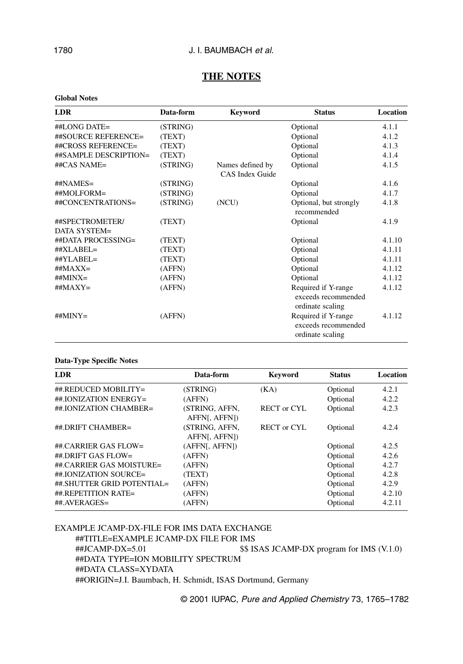#### J. I. BAUMBACH et al.

**Global Notes**

#### **LDR Data-form Keyword Status Location** ##LONG DATE= (STRING) Optional 4.1.1 ##SOURCE REFERENCE= (TEXT) Optional 4.1.2 ##CROSS REFERENCE= (TEXT) Optional 4.1.3 ##SAMPLE DESCRIPTION= (TEXT) Optional 4.1.4 ##CAS NAME= (STRING) Names defined by Optional 4.1.5 CAS Index Guide ##NAMES= (STRING) Optional 4.1.6 ##MOLFORM= (STRING) (STRING) 0ptional 4.1.7<br>
##CONCENTRATIONS= (STRING) (NCU) 0ptional, but strongly 4.1.8 ##CONCENTRATIONS= (STRING) (NCU) Optional, but strongly 4.1.8 recommended ##SPECTROMETER/ (TEXT) Optional 4.1.9 DATA SYSTEM= ##DATA PROCESSING= (TEXT) Optional 4.1.10 ##XLABEL= (TEXT) Optional 4.1.11 ##YLABEL= (TEXT) Optional 4.1.11 ##MAXX= (AFFN) Optional 4.1.12 ##MINX= (AFFN) Optional 4.1.12 ##MAXY= (AFFN) Required if Y-range 4.1.12 exceeds recommended ordinate scaling ##MINY= (AFFN) Required if Y-range 4.1.12 exceeds recommended ordinate scaling

# **THE NOTES**

#### **Data-Type Specific Notes**

| <b>LDR</b>                 | Data-form                       | <b>Keyword</b> | <b>Status</b> | Location |
|----------------------------|---------------------------------|----------------|---------------|----------|
| $\#$ REDUCED MOBILITY=     | (STRING)                        | (KA)           | Optional      | 4.2.1    |
| ##.IONIZATION ENERGY=      | (AFFN)                          |                | Optional      | 4.2.2    |
| ##.IONIZATION CHAMBER=     | (STRING, AFFN,<br>AFFNI, AFFNI) | RECT or CYL    | Optional      | 4.2.3    |
| ##.DRIFT CHAMBER=          | (STRING, AFFN,<br>AFFNI, AFFNI) | RECT or CYL    | Optional      | 4.2.4    |
| $#$ CARRIER GAS FLOW=      | (AFFNI, AFFNI)                  |                | Optional      | 4.2.5    |
| ##.DRIFT GAS FLOW=         | (AFFN)                          |                | Optional      | 4.2.6    |
| ##.CARRIER GAS MOISTURE=   | (AFFN)                          |                | Optional      | 4.2.7    |
| ##.IONIZATION SOURCE=      | (TEXT)                          |                | Optional      | 4.2.8    |
| ##.SHUTTER GRID POTENTIAL= | (AFFN)                          |                | Optional      | 4.2.9    |
| ##.REPETITION RATE=        | (AFFN)                          |                | Optional      | 4.2.10   |
| $\#$ #. AVERAGES=          | (AFFN)                          |                | Optional      | 4.2.11   |

EXAMPLE JCAMP-DX-FILE FOR IMS DATA EXCHANGE ##TITLE=EXAMPLE JCAMP-DX FILE FOR IMS ##JCAMP-DX=5.01 \$\$ ISAS JCAMP-DX program for IMS (V.1.0) ##DATA TYPE=ION MOBILITY SPECTRUM ##DATA CLASS=XYDATA ##ORIGIN=J.I. Baumbach, H. Schmidt, ISAS Dortmund, Germany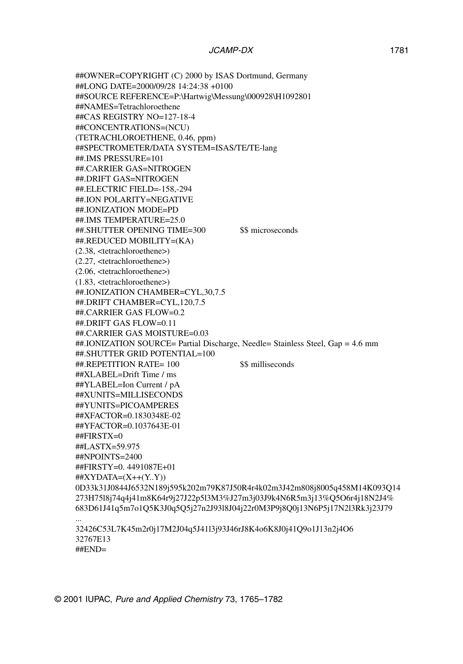##OWNER=COPYRIGHT (C) 2000 by ISAS Dortmund, Germany ##LONG DATE=2000/09/28 14:24:38 +0100 ##SOURCE REFERENCE=P:\Hartwig\Messung\000928\H1092801 ##NAMES=Tetrachloroethene ##CAS REGISTRY NO=127-18-4 ##CONCENTRATIONS=(NCU) (TETRACHLOROETHENE, 0.46, ppm) ##SPECTROMETER/DATA SYSTEM=ISAS/TE/TE-lang ##.IMS PRESSURE=101 ##.CARRIER GAS=NITROGEN ##.DRIFT GAS=NITROGEN ##.ELECTRIC FIELD=-158,-294 ##.ION POLARITY=NEGATIVE ##.IONIZATION MODE=PD ##.IMS TEMPERATURE=25.0 ##.SHUTTER OPENING TIME=300 \$\$ microseconds ##.REDUCED MOBILITY=(KA) (2.38, <tetrachloroethene>) (2.27, <tetrachloroethene>) (2.06, <tetrachloroethene>) (1.83, <tetrachloroethene>) ##.IONIZATION CHAMBER=CYL,30,7.5 ##.DRIFT CHAMBER=CYL,120,7.5 ##.CARRIER GAS FLOW=0.2 ##.DRIFT GAS FLOW=0.11 ##.CARRIER GAS MOISTURE=0.03 ##.IONIZATION SOURCE= Partial Discharge, Needle= Stainless Steel, Gap = 4.6 mm ##.SHUTTER GRID POTENTIAL=100 ##.REPETITION RATE= 100 \$\$ milliseconds ##XLABEL=Drift Time / ms ##YLABEL=Ion Current / pA ##XUNITS=MILLISECONDS ##YUNITS=PICOAMPERES ##XFACTOR=0.1830348E-02 ##YFACTOR=0.1037643E-01 ##FIRSTX=0 ##LASTX=59.975 ##NPOINTS=2400 ##FIRSTY=0. 4491087E+01 ##XYDATA=(X++(Y..Y)) 0D33k31J0844J6532N189j595k202m79K87J50R4r4k02m3J42m808j8005q458M14K093Q14 273H75l8j74q4j41m8K64r9j27J22p5l3M3%J27m3j03J9k4N6R5m3j13%Q5O6r4j18N2J4% 683D61J41q5m7o1Q5K3J0q5Q5j27n2J93l8J04j22r0M3P9j8Q0j13N6P5j17N2l3Rk3j23J79 ... 32426C53L7K45m2r0j17M2J04q5J41l3j93J46rJ8K4o6K8J0j41Q9o1J13n2j4O6 32767E13 ##END=